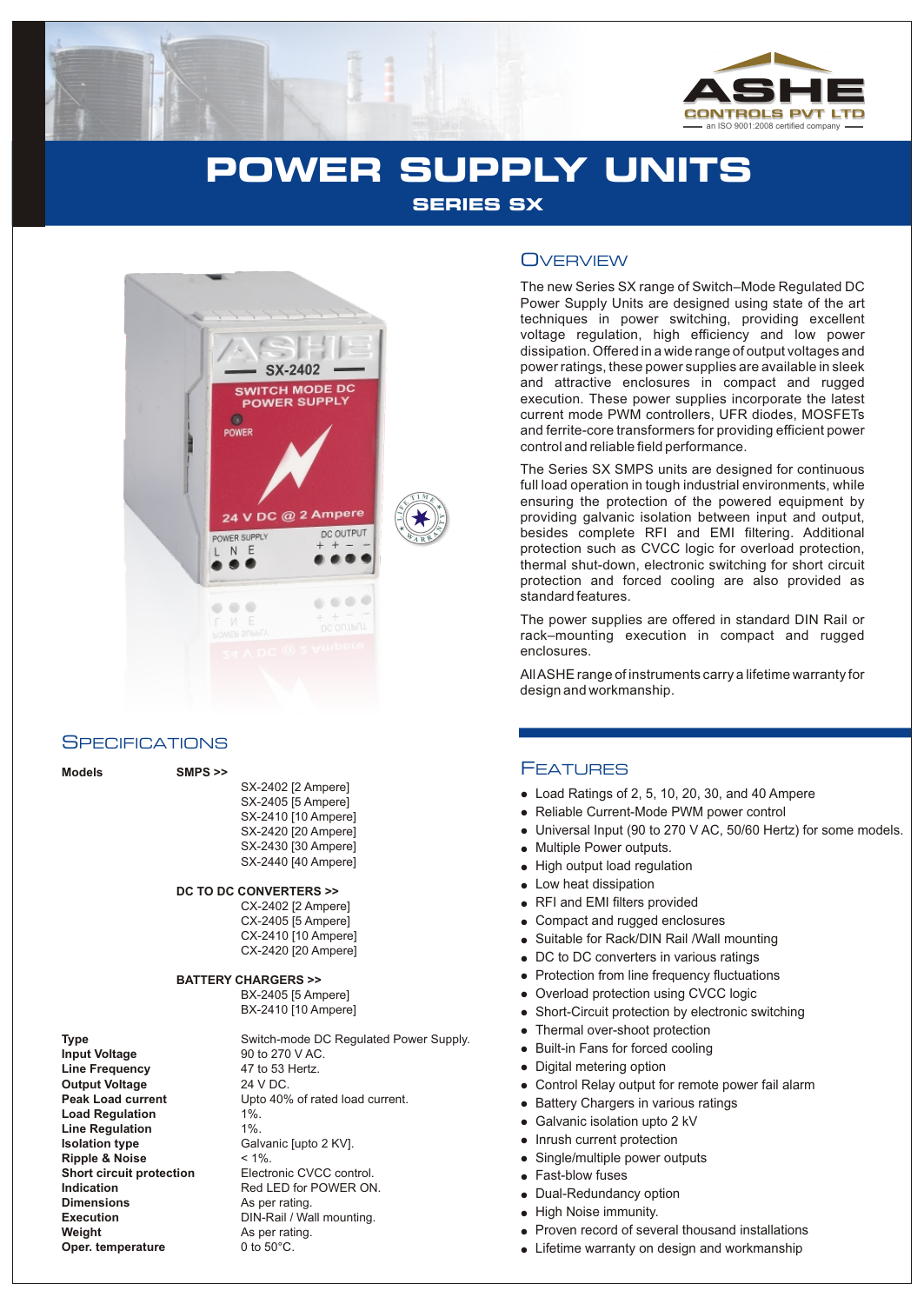

# **POWER SUPPLY UNITS SERIES SX**



### **SPECIFICATIONS**

| <b>Models</b> | $SMPS \gg$                       |
|---------------|----------------------------------|
|               | SX-2402 [2 Ampere]               |
|               | SX-2405 [5 Ampere]               |
|               | SX-2410 [10 Ampere]              |
|               | SX-2420 [20 Ampere]              |
|               | SX-2430 [30 Ampere]              |
|               | SX-2440 [40 Ampere]              |
|               | DC TO DC CONVERTERS >>           |
|               | CX-2402 [2 Ampere]               |
|               | CX-2405 [5 Ampere]               |
|               | CX-2410 [10 Ampere]              |
|               | CX-2420 [20 Ampere]              |
|               | <b>BATTERY CHARGERS &gt;&gt;</b> |
|               | $DY$ $2405$ Is $Amarol$          |

**Line Frequency** 47 to 53 Hertz. **Output Voltage Load Regulation** 1%. **Line Regulation** 1%. **Isolation type** Galvanic [upto 2 KV]. **Ripple & Noise** < 1%. **Dimensions** As per rating. **Weight As per rating.**<br> **Oper. temperature** 0 to 50°C. **Oper. temperature** 

**Type** Switch-mode DC Regulated Power Supply.<br> **Input Voltage** 90 to 270 V AC. **90 to 270 V AC.**<br>**47 to 53 Hertz.** Peak Load current Upto 40% of rated load current. **Short circuit protection**<br> **Indication**<br>
Red LED for POWER ON **Red LED for POWER ON. Execution** DIN-Rail / Wall mounting.

### **OVERVIEW**

The new Series SX range of Switch–Mode Regulated DC Power Supply Units are designed using state of the art techniques in power switching, providing excellent voltage regulation, high efficiency and low power dissipation. Offered in a wide range of output voltages and power ratings, these power supplies are available in sleek and attractive enclosures in compact and rugged execution. These power supplies incorporate the latest current mode PWM controllers, UFR diodes, MOSFETs and ferrite-core transformers for providing efficient power control and reliable field performance.

The Series SX SMPS units are designed for continuous full load operation in tough industrial environments, while ensuring the protection of the powered equipment by providing galvanic isolation between input and output, besides complete RFI and EMI filtering. Additional protection such as CVCC logic for overload protection, thermal shut-down, electronic switching for short circuit protection and forced cooling are also provided as standard features.

The power supplies are offered in standard DIN Rail or rack–mounting execution in compact and rugged enclosures.

All ASHE range of instruments carry a lifetime warranty for design and workmanship.

### FEATURES

- Load Ratings of 2, 5, 10, 20, 30, and 40 Ampere
- Reliable Current-Mode PWM power control
- Universal Input (90 to 270 V AC, 50/60 Hertz) for some models.
- Multiple Power outputs.
- Load<br>
 Relia<br>
 Unive<br>
 High<br>
 Low Islam<br>
 Suita<br>
 Digita<br>
 Digita<br>
 Digita<br>
 Digita<br>
 Digita<br>
 Digita<br>
 Digita<br>
 Digita<br>
 Digita<br>
 Digita<br>
 Digita<br>
 Prote<br>
 Built<br>
 Digita<br>
 Prote<br>
 Prote<br>
 Prote<br>
 • High output load regulation
- Low heat dissipation
- RFI and EMI filters provided
- Compact and rugged enclosures
- Suitable for Rack/DIN Rail /Wall mounting
- DC to DC converters in various ratings
- Protection from line frequency fluctuations
- Overload protection using CVCC logic
- Short-Circuit protection by electronic switching
- Thermal over-shoot protection
- Built-in Fans for forced cooling
- Digital metering option
- Control Relay output for remote power fail alarm
- Battery Chargers in various ratings
- Galvanic isolation upto 2 kV
- Inrush current protection  $\bullet$
- Single/multiple power outputs
- Fast-blow fuses
- Dual-Redundancy option
- High Noise immunity.
- Proven record of several thousand installations
- Lifetime warranty on design and workmanship

### **DC TO DC CONVERTERS >>**

BX-2405 [5 Ampere] BX-2410 [10 Ampere]